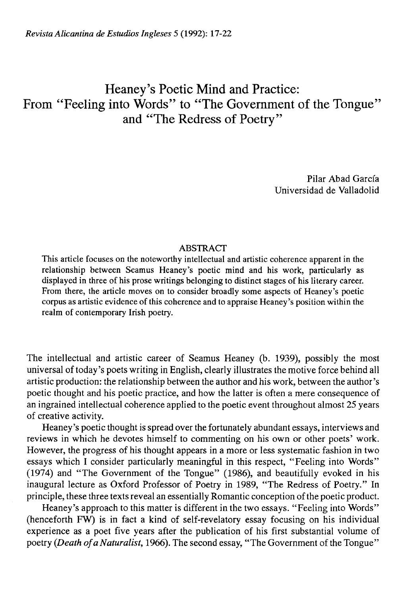## Heaney's Poetic Mind and Practice: From "Feeling into Words" to "The Government of the Tongue" and "The Redress of Poetry"

Pilar Abad García Universidad de Valladolid

## ABSTRACT

This article focuses on the noteworthy intellectual and artistic coherence apparent in the relationship between Seamus Heaney's poetic mind and his work, particularly as displayed in three of his prose writings belonging to distinct stages of his literary career. From there, the article moves on to consider broadly some aspects of Heaney's poetic corpus as artistic evidence of this coherence and to appraise Heaney's position within the realm of contemporary Irish poetry.

The intellectual and artistic career of Seamus Heaney (b. 1939), possibly the most universal of today's poets writing in English, clearly illustrates the motive forcé behind all artistic production: the relationship between the author and his work, between the author's poetic thought and his poetic practice, and how the latter is often a mere consequence of an ingrained intellectual coherence applied to the poetic event throughout almost 25 years of creative activity.

Heaney's poetic thought is spread over the fortunately abundant essays, interviews and reviews in which he devotes himself to commenting on his own or other poets' work. However, the progress of his thought appears in a more or less systematic fashion in two essays which I consider particularly meaningful in this respect, "Feeling into Words" (1974) and "The Government of the Tongue" (1986), and beautifully evoked in his inaugural lecture as Oxford Professor of Poetry in 1989, "The Redress of Poetry." In principie, these three texts reveal an essentially Romantic conception of the poetic product.

Heaney's approach to this matter is different in the two essays. "Feeling into Words" (henceforth FW) is in fact a kind of self-revelatory essay focusing on his individual experience as a poet five years after the publication of his first substantial volume of poetry *(Death ofaNaturalist,* 1966). The second essay, "The Government of the Tongue"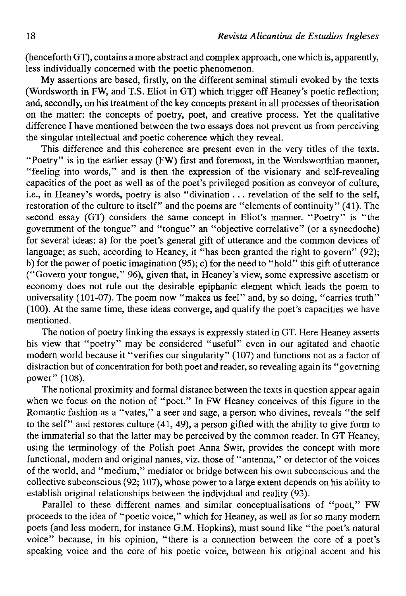(henceforth GT), contains a more abstract and complex approach, one which is, apparently, less individually concerned with the poetic phenomenon.

My assertions are based, firstly, on the different seminal stimuli evoked by the texts (Wordsworth in FW, and T.S. Eliot in GT) which trigger off Heaney's poetic reflection; and, secondly, on his treatment of the key concepts present in all processes of theorisation on the matter: the concepts of poetry, poet, and creative process. Yet the qualitative difference I have mentioned between the two essays does not prevent us from perceiving the singular intellectual and poetic coherence which they reveal.

This difference and this coherence are present even in the very titles of the texts. "Poetry" is in the earlier essay (FW) first and foremost, in the Wordsworthian manner, "feeling into words," and is then the expression of the visionary and self-revealing capacities of the poet as well as of the poet's privileged position as conveyor of culture, i.e., in Heaney's words, poetry is also "divination .. . revelation of the self to the self, restoration of the culture to itself" and the poems are "elements of continuity" (41). The second essay (GT) considers the same concept in Eliot's manner. "Poetry" is "the government of the tongue" and "tongue" an "objective correlative" (or a synecdoche) for several ideas: a) for the poet's general gift of utterance and the common devices of language; as such, according to Heaney, it "has been granted the right to govern" (92); b) for the power of poetic imagination (95); c) for the need to "hold" this gift of utterance ("Govern your tongue," 96), given that, in Heaney's view, some expressive ascetism or economy does not rule out the desirable epiphanic element which leads the poem to universality (101-07). The poem now "makes us feel" and, by so doing, "carries truth" (100). At the same time, these ideas converge, and qualify the poet's capacities we have mentioned.

The notion of poetry linking the essays is expressly stated in GT. Here Heaney asserts his view that "poetry" may be considered "useful" even in our agitated and chaotic modern world because it "verifies our singularity" (107) and functions not as a factor of distraction but of concentration for both poet and reader, so revealing again its "governing power" (108).

The notional proximity and formal distance between the texts in question appear again when we focus on the notion of "poet." In FW Heaney conceives of this figure in the Romantic fashion as a "vates," a seer and sage, a person who divines, reveals "the self to the self" and restores culture (41, 49), a person gifted with the ability to give form to the immaterial so that the latter may be perceived by the common reader. In GT Heaney, using the terminology of the Polish poet Anna Swir, provides the concept with more functional, modern and original names, viz. those of "antenna," or detector of the voices of the world, and "médium," mediator or bridge between his own subconscious and the collective subconscious (92; 107), whose power to a large extent depends on his ability to establish original relationships between the individual and reality (93).

Parallel to these different names and similar conceptualisations of "poet," FW proceeds to the idea of "poetic voice," which for Heaney, as well as for so many modern poets (and less modern, for instance G.M. Hopkins), must sound like "the poet's natural voice" because, in his opinion, "there is a connection between the core of a poet's speaking voice and the core of his poetic voice, between his original accent and his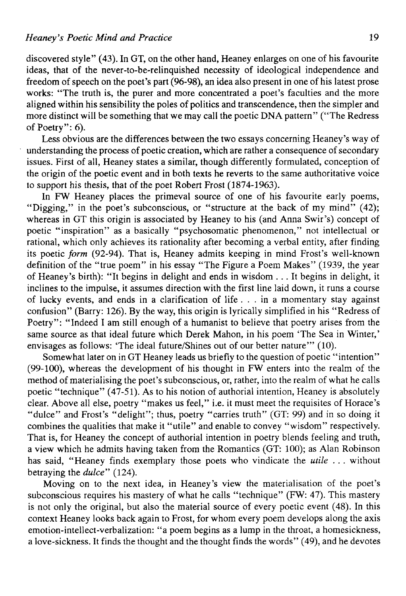discovered style" (43). In GT, on the other hand, Heaney enlarges on one of his favourite ideas, that of the never-to-be-relinquished necessity of ideological independence and freedom of speech on the poet's part (96-98), an idea also present in one of his latest prose works: "The truth is, the purer and more concentrated a poet's faculties and the more aligned within his sensibility the poles of politics and transcendence, then the simpler and more distinct will be something that we may cali the poetic DNA pattern" ("The Redress of Poetry":  $6$ ).

Less obvious are the differences between the two essays concerning Heaney's way of understanding the process of poetic creation, which are rather a consequence of secondary issues. First of all, Heaney states a similar, though differently formulated, conception of the origin of the poetic event and in both texts he reverts to the same authoritative voice to support his thesis, that of the poet Robert Frost (1874-1963).

In FW Heaney places the primeval source of one of his favourite early poems, "Digging," in the poet's subconscious, or "structure at the back of my mind" (42); whereas in GT this origin is associated by Heaney to his (and Anna Swir's) concept of poetic "inspiration" as a basically "psychosomatic phenomenon," not intellectual or rational, which only achieves its rationality after becoming a verbal entity, after finding its poetic *form* (92-94). That is, Heaney admits keeping in mind Frost's well-known definition of the "true poem" in his essay "The Figure a Poem Makes" (1939, the year of Heaney's birth): "It begins in delight and ends in wisdom . .. It begins in delight, it inclines to the impulse, it assumes direction with the first line laid down, it runs a course of lucky events, and ends in a clarification of life . . . in a momentary stay against confusión" (Barry: 126). By the way, this origin is lyrically simplified in his "Redress of Poetry": "Indeed I am still enough of a humanist to believe that poetry arises from the same source as that ideal future which Derek Mahon, in his poem 'The Sea in Winter,' envisages as follows: 'The ideal future/Shines out of our better nature'" (10).

Somewhat later on in GT Heaney leads us briefly to the question of poetic "intention" (99-100), whereas the development of his thought in FW enters into the realm of the method of materialising the poet's subconscious, or, rather, into the realm of what he calis poetic "technique" (47-51). As to his notion of authorial intention, Heaney is absolutely clear. Above all else, poetry "makes us feel," i.e. it must meet the requisites of Horace's "dulce" and Frost's "delight"; thus, poetry "carries truth" (GT: 99) and in so doing it combines the qualities that make it "utile" and enable to convey "wisdom" respectively. That is, for Heaney the concept of authorial intention in poetry blends feeling and truth, a view which he admits having taken from the Romantics (GT: 100); as Alan Robinson has said, "Heaney finds exemplary those poets who vindícate the *utile . . .* without betraying the *dulce"* (124).

Moving on to the next idea, in Heaney's view the materialisation of the poet's subconscious requires his mastery of what he calis "technique" (FW: 47). This mastery is not only the original, but also the material source of every poetic event (48). In this context Heaney looks back again to Frost, for whom every poem develops along the axis emotion-intellect-verbalization: "a poem begins as a lump in the throat, a homesickness, a love-sickness. It finds the thought and the thought finds the words" (49), and he devotes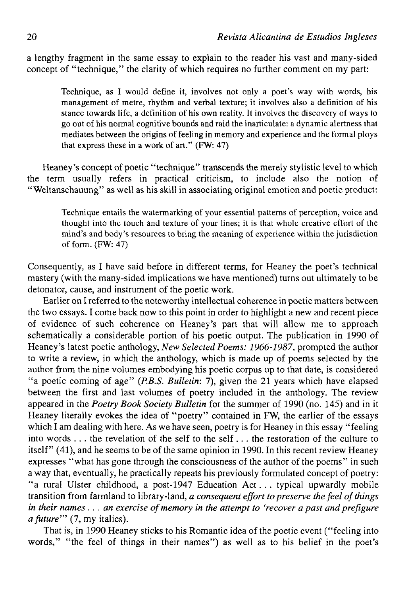a lengthy fragment in the same essay to explain to the reader his vast and many-sided concept of "technique," the clarity of which requires no further comment on my part:

Technique, as I would define it, involves not only a poet's way with words, his management of metre, rhythm and verbal texture; it involves also a definition of his stance towards life, a definition of his own reality. It involves the discovery of ways to go out of his normal cognitive bounds and raid the inarticulate: a dynamic alertness that mediates between the origins of feeling in memory and experience and the formal ploys that express these in a work of art." (FW: 47)

Heaney's concept of poetic "technique" transcends the merely stylistic level to which the term usually refers in practical criticism, to include also the notion of "Weltanschauung" as well as his skill in associating original emotion and poetic product:

Technique entails the watermarking of your essential patterns of perception, voice and thought into the touch and texture of your lines; it is that whole creative effort of the mind's and body's resources to bring the meaning of experience within the jurisdiction of form.  $(FW: 47)$ 

Consequently, as I have said before in different terms, for Heaney the poet's technical mastery (with the many-sided implications we have mentioned) turns out ultimately to be detonator, cause, and instrument of the poetic work.

Earlier on I referred to the noteworthy intellectual coherence in poetic matters between the two essays. I come back now to this point in order to highlight a new and recent piece of evidence of such coherence on Heaney's part that will allow me to approach schematically a considerable portion of his poetic output. The publication in 1990 of Heaney's latest poetic anthology, *New Selected Poems: 1966-1987,* prompted the author to write a review, in which the anthology, which is made up of poems selected by the author from the nine volumes embodying his poetic corpus up to that date, is considered "a poetic coming of age" *(P.B.S. Bulletin:* 7), given the 21 years which have elapsed between the first and last volumes of poetry included in the anthology. The review appeared in the *Poetry Book Society Bulletin* for the summer of 1990 (no. 145) and in it Heaney literally evokes the idea of "poetry" contained in FW, the earlier of the essays which I am dealing with here. As we have seen, poetry is for Heaney in this essay "feeling" into words .. . the revelation of the self to the self... the restoration of the culture to itself" (41), and he seems to be of the same opinión in 1990. In this recent review Heaney expresses "what has gone through the consciousness of the author of the poems" in such a way that, eventually, he practically repeats his previously formulated concept of poetry: "a rural Ulster childhood, a post-1947 Education Act. . . typical upwardly mobile transition from farmland to library-land, *a consequent effort to preserve the feel of things* in their names . . . an exercise of memory in the attempt to 'recover a past and prefigure *afuture"' (7,* my italics).

That is, in 1990 Heaney sticks to his Romantic idea of the poetic event ("feeling into words," "the feel of things in their names") as well as to his belief in the poet's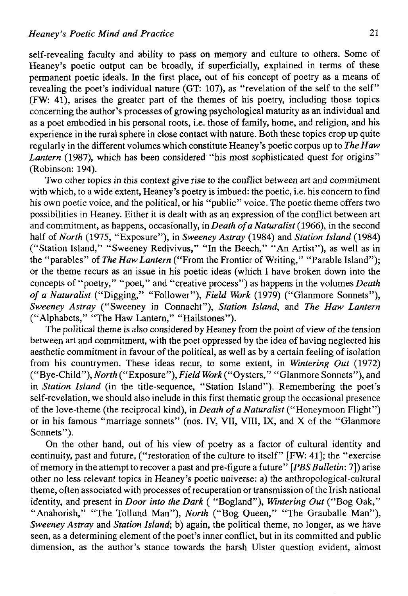self-revealing faculty and ability to pass on memory and culture to others. Some of Heaney's poetic output can be broadly, if superficially, explained in terms of these permanent poetic ideáis. In the first place, out of his concept of poetry as a means of revealing the poet's individual nature (GT: 107), as "revelation of the self to the self" (FW: 41), arises the greater part of the themes of his poetry, including those topics concerning the author's processes of growing psychological maturity as an individual and as a poet embodied in his personal roots, i.e. those of family, home, and religión, and his experience in the rural sphere in cióse contact with nature. Both these topics crop up quite regularly in the different volumes which constitute Heaney's poetic corpus up to *TheHaw Lantern* (1987), which has been considered "his most sophisticated quest for origins" (Robinson: 194).

Two other topics in this context give rise to the conflict between art and commitment with which, to a wide extent, Heaney's poetry is imbued: the poetic, i.e. his concern to find his own poetic voice, and the political, or his "public" voice. The poetic theme offers two possibilities in Heaney. Either it is dealt with as an expression of the conflict between art and commitment, as happens, occasionally, in *Death ofa Naturalist* (1966), in the second half of *North* (1975, "Exposure"), in *Sweeney Astray* (1984) and *Station Island* (1984) ("Station Island," "Sweeney Redivivus," "In the Beech," "An Artist"), as well as in the "parables" of *The Haw Lantern* ("From the Frontier of Writing," "Parable Island"); or the theme recurs as an issue in his poetic ideas (which I have broken down into the concepts of "poetry," "poet," and "creative process") as happens in the volumes *Death of a Naturalist* ("Digging," "Follower"), *Field Work* (1979) ("Glanmore Sonnets"), *Sweeney Astray* ("Sweeney in Connacht"), *Station Island,* and *The Haw Lantern*  ("Alphabets," "The Haw Lantern," "Hailstones").

The political theme is also considered by Heaney from the point of view of the tensión between art and commitment, with the poet oppressed by the idea of having neglected his aesthetic commitment in favour of the political, as well as by a certain feeling of isolation from his countrymen. These ideas recur, to some extent, in *Wintering Out* (1972) ("Bye-Child"), *North* ("Exposure"), *Field Work* ("Oysters," "Glanmore Sonnets"), and in *Station Island* (in the title-sequence, "Station Island"). Remembering the poet's self-revelation, we should also include in this first thematic group the occasional presence of the love-theme (the reciprocal kind), in *Death of a Naturalist* ("Honeymoon Flight") or in his famous "marriage sonnets" (nos. IV, VII, VIII, IX, and X of the "Glanmore Sonnets").

On the other hand, out of his view of poetry as a factor of cultural identity and continuity, past and future, ("restoration of the culture to itself" [FW: 41]; the "exercise of memory in the attempt to recover a past and pre-figure a future" *[PBSBulletin:* 7]) arise other no less relevant topics in Heaney's poetic universe: a) the anthropological-cultural theme, often associated with processes of recuperation or transmission of the Irish national identity, and present in *Door into the Dark* ( "Bogland"), *Wintering Out* ("Bog Oak," "Anahorish," "The Tollund Man"), *North* ("Bog Queen," "The Grauballe Man"), *Sweeney Astray* and *Station Island;* b) again, the political theme, no longer, as we have seen, as a determining element of the poet's inner conflict, but in its committed and public dimensión, as the author's stance towards the harsh Ulster question evident, almost